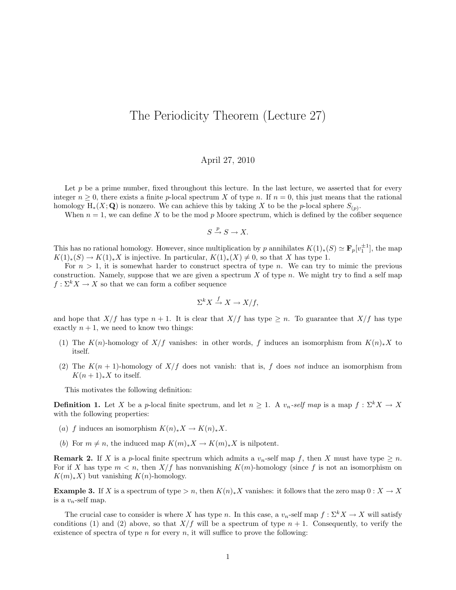## The Periodicity Theorem (Lecture 27)

## April 27, 2010

Let  $p$  be a prime number, fixed throughout this lecture. In the last lecture, we asserted that for every integer  $n \geq 0$ , there exists a finite p-local spectrum X of type n. If  $n = 0$ , this just means that the rational homology  $H_*(X; Q)$  is nonzero. We can achieve this by taking X to be the p-local sphere  $S_{(p)}$ .

When  $n = 1$ , we can define X to be the mod p Moore spectrum, which is defined by the cofiber sequence

$$
S \xrightarrow{p} S \to X.
$$

This has no rational homology. However, since multiplication by p annihilates  $K(1)_*(S) \simeq \mathbf{F}_p[v_1^{\pm 1}]$ , the map  $K(1)_*(S) \to K(1)_*X$  is injective. In particular,  $K(1)_*(X) \neq 0$ , so that X has type 1.

For  $n > 1$ , it is somewhat harder to construct spectra of type n. We can try to mimic the previous construction. Namely, suppose that we are given a spectrum  $X$  of type  $n$ . We might try to find a self map  $f: \Sigma^k X \to X$  so that we can form a cofiber sequence

$$
\Sigma^k X \stackrel{f}{\to} X \to X/f,
$$

and hope that  $X/f$  has type  $n + 1$ . It is clear that  $X/f$  has type  $\geq n$ . To guarantee that  $X/f$  has type exactly  $n + 1$ , we need to know two things:

- (1) The K(n)-homology of X/f vanishes: in other words, f induces an isomorphism from  $K(n)_*X$  to itself.
- (2) The  $K(n + 1)$ -homology of  $X/f$  does not vanish: that is, f does not induce an isomorphism from  $K(n+1)_*X$  to itself.

This motivates the following definition:

**Definition 1.** Let X be a p-local finite spectrum, and let  $n \geq 1$ . A  $v_n$ -self map is a map  $f : \Sigma^k X \to X$ with the following properties:

- (a) f induces an isomorphism  $K(n)_*X \to K(n)_*X$ .
- (b) For  $m \neq n$ , the induced map  $K(m)_*X \to K(m)_*X$  is nilpotent.

**Remark 2.** If X is a p-local finite spectrum which admits a  $v_n$ -self map f, then X must have type  $\geq n$ . For if X has type  $m < n$ , then  $X/f$  has nonvanishing  $K(m)$ -homology (since f is not an isomorphism on  $K(m)_*X$ ) but vanishing  $K(n)$ -homology.

Example 3. If X is a spectrum of type  $> n$ , then  $K(n)_*X$  vanishes: it follows that the zero map  $0: X \to X$ is a  $v_n$ -self map.

The crucial case to consider is where X has type n. In this case, a  $v_n$ -self map  $f: \Sigma^k X \to X$  will satisfy conditions (1) and (2) above, so that  $X/f$  will be a spectrum of type  $n + 1$ . Consequently, to verify the existence of spectra of type  $n$  for every  $n$ , it will suffice to prove the following: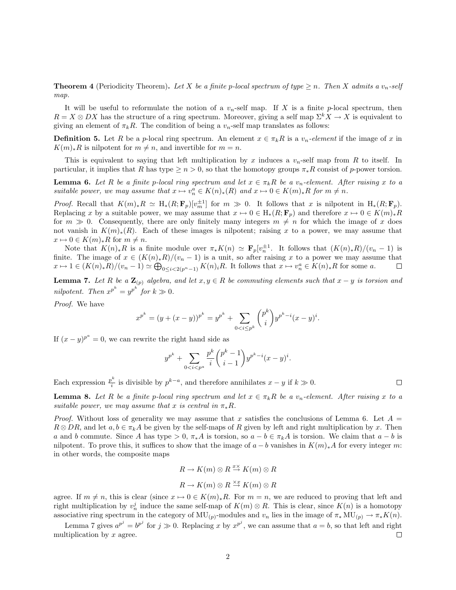**Theorem 4** (Periodicity Theorem). Let X be a finite p-local spectrum of type  $\geq n$ . Then X admits a  $v_n$ -self map.

It will be useful to reformulate the notion of a  $v_n$ -self map. If X is a finite p-local spectrum, then  $R = X \otimes DX$  has the structure of a ring spectrum. Moreover, giving a self map  $\Sigma^k X \to X$  is equivalent to giving an element of  $\pi_k R$ . The condition of being a  $v_n$ -self map translates as follows:

**Definition 5.** Let R be a p-local ring spectrum. An element  $x \in \pi_k R$  is a  $v_n$ -element if the image of x in  $K(m)_*R$  is nilpotent for  $m \neq n$ , and invertible for  $m = n$ .

This is equivalent to saying that left multiplication by x induces a  $v_n$ -self map from R to itself. In particular, it implies that R has type  $\ge n > 0$ , so that the homotopy groups  $\pi_*R$  consist of p-power torsion.

**Lemma 6.** Let R be a finite p-local ring spectrum and let  $x \in \pi_k R$  be a  $v_n$ -element. After raising x to a suitable power, we may assume that  $x \mapsto v_n^a \in K(n)_*(R)$  and  $x \mapsto 0 \in K(m)_*R$  for  $m \neq n$ .

*Proof.* Recall that  $K(m)_*R \simeq H_*(R; \mathbf{F}_p)[v_m^{\pm 1}]$  for  $m \gg 0$ . It follows that x is nilpotent in  $H_*(R; \mathbf{F}_p)$ . Replacing x by a suitable power, we may assume that  $x \mapsto 0 \in H_*(R; \mathbf{F}_p)$  and therefore  $x \mapsto 0 \in K(m)_*R$ for  $m \gg 0$ . Consequently, there are only finitely many integers  $m \neq n$  for which the image of x does not vanish in  $K(m)_*(R)$ . Each of these images is nilpotent; raising x to a power, we may assume that  $x \mapsto 0 \in K(m)_*R$  for  $m \neq n$ .

Note that  $K(n)_*R$  is a finite module over  $\pi_*K(n) \simeq \mathbf{F}_p[v_n^{\pm 1}]$ . It follows that  $(K(n)_*R)/(v_n-1)$  is finite. The image of  $x \in (K(n)_*R)/(v_n-1)$  is a unit, so after raising x to a power we may assume that  $x \mapsto 1 \in (K(n)_*R)/(v_n-1) \simeq \bigoplus_{0 \leq i < 2(p^n-1)} K(n)_iR$ . It follows that  $x \mapsto v_n^a \in K(n)_*R$  for some a.  $\Box$ 

**Lemma 7.** Let R be a  $\mathbf{Z}_{(p)}$  algebra, and let  $x, y \in R$  be commuting elements such that  $x - y$  is torsion and nilpotent. Then  $x^{p^k} = y^{p^k}$  for  $k \gg 0$ .

Proof. We have

$$
x^{p^k} = (y + (x - y))^{p^k} = y^{p^k} + \sum_{0 < i \le p^k} \binom{p^k}{i} y^{p^k - i} (x - y)^i.
$$

If  $(x - y)^{p^a} = 0$ , we can rewrite the right hand side as

$$
y^{p^k} + \sum_{0 < i < p^a} \frac{p^k}{i} \binom{p^k - 1}{i - 1} y^{p^k - i} (x - y)^i.
$$

Each expression  $\frac{p^k}{i}$  $\sum_{i=1}^{k}$  is divisible by  $p^{k-a}$ , and therefore annihilates  $x - y$  if  $k \ge 0$ .

 $\Box$ 

**Lemma 8.** Let R be a finite p-local ring spectrum and let  $x \in \pi_k R$  be a  $v_n$ -element. After raising x to a suitable power, we may assume that x is central in  $\pi_* R$ .

*Proof.* Without loss of generality we may assume that x satisfies the conclusions of Lemma 6. Let  $A =$  $R \otimes DR$ , and let  $a, b \in \pi_k A$  be given by the self-maps of R given by left and right multiplication by x. Then a and b commute. Since A has type  $> 0$ ,  $\pi_* A$  is torsion, so  $a - b \in \pi_k A$  is torsion. We claim that  $a - b$  is nilpotent. To prove this, it suffices to show that the image of  $a - b$  vanishes in  $K(m)_*A$  for every integer m: in other words, the composite maps

$$
R \to K(m) \otimes R \xrightarrow{x \times} K(m) \otimes R
$$

$$
R \to K(m) \otimes R \xrightarrow{x x} K(m) \otimes R
$$

agree. If  $m \neq n$ , this is clear (since  $x \mapsto 0 \in K(m)_*R$ . For  $m = n$ , we are reduced to proving that left and right multiplication by  $v_n^j$  induce the same self-map of  $K(m) \otimes R$ . This is clear, since  $K(n)$  is a homotopy associative ring spectrum in the category of MU<sub>(p)</sub>-modules and  $v_n$  lies in the image of  $\pi_* \text{MU}_{(p)} \to \pi_* K(n)$ .

Lemma 7 gives  $a^{p^j} = b^{p^j}$  for  $j \gg 0$ . Replacing x by  $x^{p^j}$ , we can assume that  $a = b$ , so that left and right multiplication by  $x$  agree. □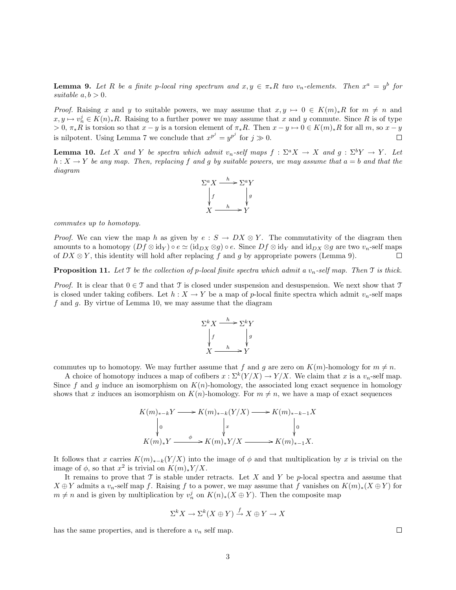**Lemma 9.** Let R be a finite p-local ring spectrum and  $x, y \in \pi_*R$  two  $v_n$ -elements. Then  $x^a = y^b$  for suitable  $a, b > 0$ .

*Proof.* Raising x and y to suitable powers, we may assume that  $x, y \mapsto 0 \in K(m)_*R$  for  $m \neq n$  and  $x, y \mapsto v_n^j \in K(n)_*R$ . Raising to a further power we may assume that x and y commute. Since R is of type  $> 0$ ,  $\pi_*R$  is torsion so that  $x - y$  is a torsion element of  $\pi_*R$ . Then  $x - y \mapsto 0 \in K(m)_*R$  for all m, so  $x - y$ is nilpotent. Using Lemma 7 we conclude that  $x^{p^j} = y^{p^j}$  for  $j \gg 0$ .  $\Box$ 

**Lemma 10.** Let X and Y be spectra which admit  $v_n$ -self maps  $f : \Sigma^a X \to X$  and  $g : \Sigma^b Y \to Y$ . Let  $h: X \to Y$  be any map. Then, replacing f and g by suitable powers, we may assume that  $a = b$  and that the diagram



commutes up to homotopy.

*Proof.* We can view the map h as given by  $e : S \to DX \otimes Y$ . The commutativity of the diagram then amounts to a homotopy  $(Df \otimes id_Y) \circ e \simeq (id_{DX} \otimes g) \circ e$ . Since  $Df \otimes id_Y$  and  $id_{DX} \otimes g$  are two  $v_n$ -self maps of  $DX \otimes Y$ , this identity will hold after replacing f and g by appropriate powers (Lemma 9).  $\Box$ 

**Proposition 11.** Let T be the collection of p-local finite spectra which admit a  $v_n$ -self map. Then T is thick.

*Proof.* It is clear that  $0 \in \mathcal{T}$  and that  $\mathcal{T}$  is closed under suspension and desuspension. We next show that  $\mathcal{T}$ is closed under taking cofibers. Let  $h : X \to Y$  be a map of p-local finite spectra which admit  $v_n$ -self maps  $f$  and  $g$ . By virtue of Lemma 10, we may assume that the diagram



commutes up to homotopy. We may further assume that f and g are zero on  $K(m)$ -homology for  $m \neq n$ .

A choice of homotopy induces a map of cofibers  $x : \Sigma^k(Y/X) \to Y/X$ . We claim that x is a  $v_n$ -self map. Since f and g induce an isomorphism on  $K(n)$ -homology, the associated long exact sequence in homology shows that x induces an isomorphism on  $K(n)$ -homology. For  $m \neq n$ , we have a map of exact sequences

$$
K(m)_{*-k}Y \longrightarrow K(m)_{*-k}(Y/X) \longrightarrow K(m)_{*-k-1}X
$$
  
\n
$$
\downarrow 0
$$
  
\n
$$
K(m)_*Y \longrightarrow K(m)_*Y/X \longrightarrow K(m)_{*-1}X.
$$

It follows that x carries  $K(m)_{*-k}(Y/X)$  into the image of  $\phi$  and that multiplication by x is trivial on the image of  $\phi$ , so that  $x^2$  is trivial on  $K(m)_*Y/X$ .

It remains to prove that  $\mathcal T$  is stable under retracts. Let X and Y be p-local spectra and assume that  $X \oplus Y$  admits a  $v_n$ -self map f. Raising f to a power, we may assume that f vanishes on  $K(m)_*(X \oplus Y)$  for  $m \neq n$  and is given by multiplication by  $v_n^j$  on  $K(n)_*(X \oplus Y)$ . Then the composite map

$$
\Sigma^k X \to \Sigma^k (X \oplus Y) \xrightarrow{f} X \oplus Y \to X
$$

has the same properties, and is therefore a  $v_n$  self map.

 $\Box$